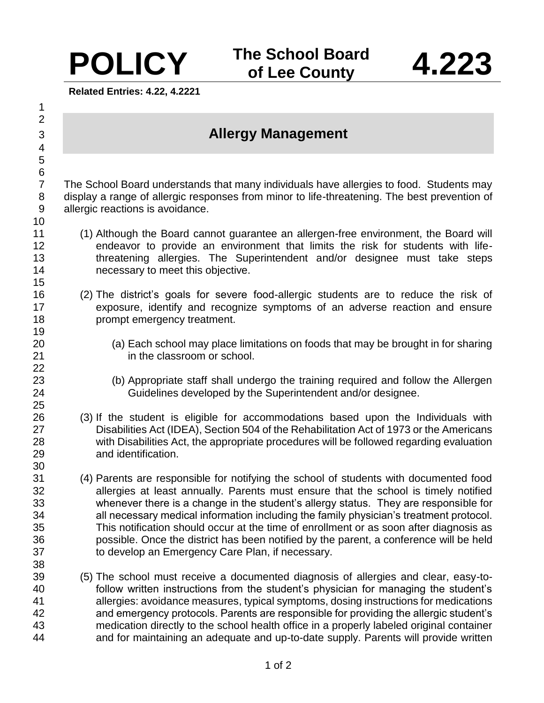**Related Entries: 4.22, 4.2221**

## **Allergy Management**

 The School Board understands that many individuals have allergies to food. Students may display a range of allergic responses from minor to life-threatening. The best prevention of allergic reactions is avoidance.

- (1) Although the Board cannot guarantee an allergen-free environment, the Board will endeavor to provide an environment that limits the risk for students with life- threatening allergies. The Superintendent and/or designee must take steps necessary to meet this objective.
- (2) The district's goals for severe food-allergic students are to reduce the risk of exposure, identify and recognize symptoms of an adverse reaction and ensure prompt emergency treatment.
- (a) Each school may place limitations on foods that may be brought in for sharing 21 in the classroom or school.
- (b) Appropriate staff shall undergo the training required and follow the Allergen Guidelines developed by the Superintendent and/or designee.
- (3) If the student is eligible for accommodations based upon the Individuals with Disabilities Act (IDEA), Section 504 of the Rehabilitation Act of 1973 or the Americans with Disabilities Act, the appropriate procedures will be followed regarding evaluation and identification.
- (4) Parents are responsible for notifying the school of students with documented food allergies at least annually. Parents must ensure that the school is timely notified whenever there is a change in the student's allergy status. They are responsible for all necessary medical information including the family physician's treatment protocol. This notification should occur at the time of enrollment or as soon after diagnosis as possible. Once the district has been notified by the parent, a conference will be held to develop an Emergency Care Plan, if necessary.
- (5) The school must receive a documented diagnosis of allergies and clear, easy-to- follow written instructions from the student's physician for managing the student's allergies: avoidance measures, typical symptoms, dosing instructions for medications and emergency protocols. Parents are responsible for providing the allergic student's medication directly to the school health office in a properly labeled original container and for maintaining an adequate and up-to-date supply. Parents will provide written